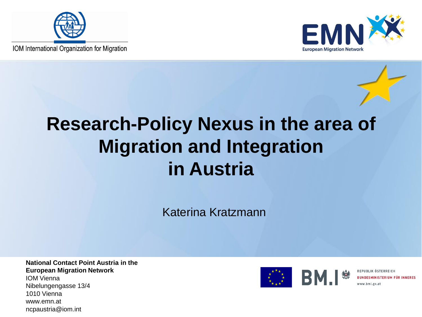

IOM International Organization for Migration



### **Research-Policy Nexus in the area of Migration and Integration in Austria**

Katerina Kratzmann

**National Contact Point Austria in the European Migration Network** IOM Vienna

Nibelungengasse 13/4 1010 Vienna www.emn.at ncpaustria@iom.int



REPUBLIK ÖSTERREICH **BUNDESMINISTERIUM FÜR INNERES**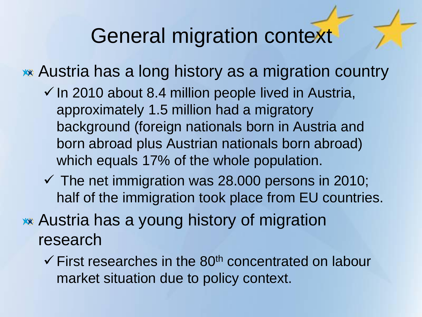### General migration context

Austria has a long history as a migration country

- $\checkmark$  In 2010 about 8.4 million people lived in Austria, approximately 1.5 million had a migratory background (foreign nationals born in Austria and born abroad plus Austrian nationals born abroad) which equals 17% of the whole population.
- $\checkmark$  The net immigration was 28.000 persons in 2010; half of the immigration took place from EU countries.

Austria has a young history of migration research

 $\checkmark$  First researches in the 80<sup>th</sup> concentrated on labour market situation due to policy context.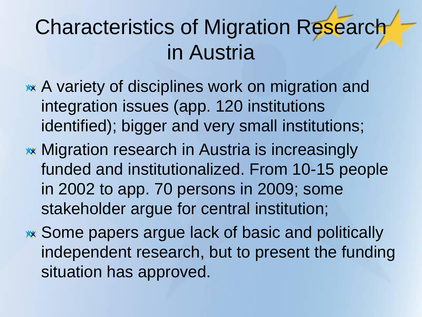# Characteristics of Migration Research in Austria

- **\*\*** A variety of disciplines work on migration and integration issues (app. 120 institutions identified); bigger and very small institutions;
- **\*\* Migration research in Austria is increasingly** funded and institutionalized. From 10-15 people in 2002 to app. 70 persons in 2009; some stakeholder argue for central institution;
- Some papers argue lack of basic and politically independent research, but to present the funding situation has approved.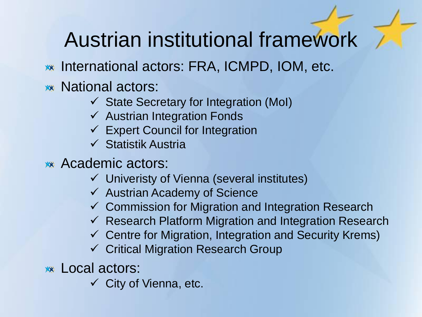## Austrian institutional framework

- International actors: FRA, ICMPD, IOM, etc.
- **\*\*** National actors:
	- $\checkmark$  State Secretary for Integration (MoI)
	- $\checkmark$  Austrian Integration Fonds
	- $\checkmark$  Expert Council for Integration
	- $\checkmark$  Statistik Austria
- Academic actors:
	- Univeristy of Vienna (several institutes)
	- $\checkmark$  Austrian Academy of Science
	- $\checkmark$  Commission for Migration and Integration Research
	- $\checkmark$  Research Platform Migration and Integration Research
	- $\checkmark$  Centre for Migration, Integration and Security Krems)
	- Critical Migration Research Group

**xx** Local actors:

 $\checkmark$  City of Vienna, etc.